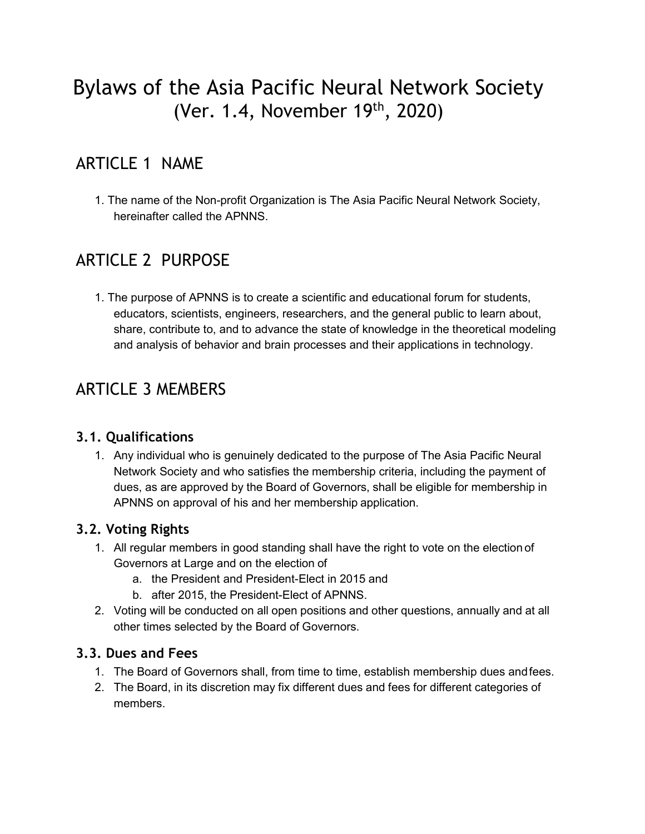# Bylaws of the Asia Pacific Neural Network Society (Ver. 1.4, November 19th, 2020)

# ARTICLE 1 NAME

1. The name of the Non-profit Organization is The Asia Pacific Neural Network Society, hereinafter called the APNNS.

# ARTICLE 2 PURPOSE

1. The purpose of APNNS is to create a scientific and educational forum for students, educators, scientists, engineers, researchers, and the general public to learn about, share, contribute to, and to advance the state of knowledge in the theoretical modeling and analysis of behavior and brain processes and their applications in technology.

# ARTICLE 3 MEMBERS

#### **3.1. Qualifications**

1. Any individual who is genuinely dedicated to the purpose of The Asia Pacific Neural Network Society and who satisfies the membership criteria, including the payment of dues, as are approved by the Board of Governors, shall be eligible for membership in APNNS on approval of his and her membership application.

#### **3.2. Voting Rights**

- 1. All regular members in good standing shall have the right to vote on the election of Governors at Large and on the election of
	- a. the President and President-Elect in 2015 and
	- b. after 2015, the President-Elect of APNNS.
- 2. Voting will be conducted on all open positions and other questions, annually and at all other times selected by the Board of Governors.

#### **3.3. Dues and Fees**

- 1. The Board of Governors shall, from time to time, establish membership dues andfees.
- 2. The Board, in its discretion may fix different dues and fees for different categories of members.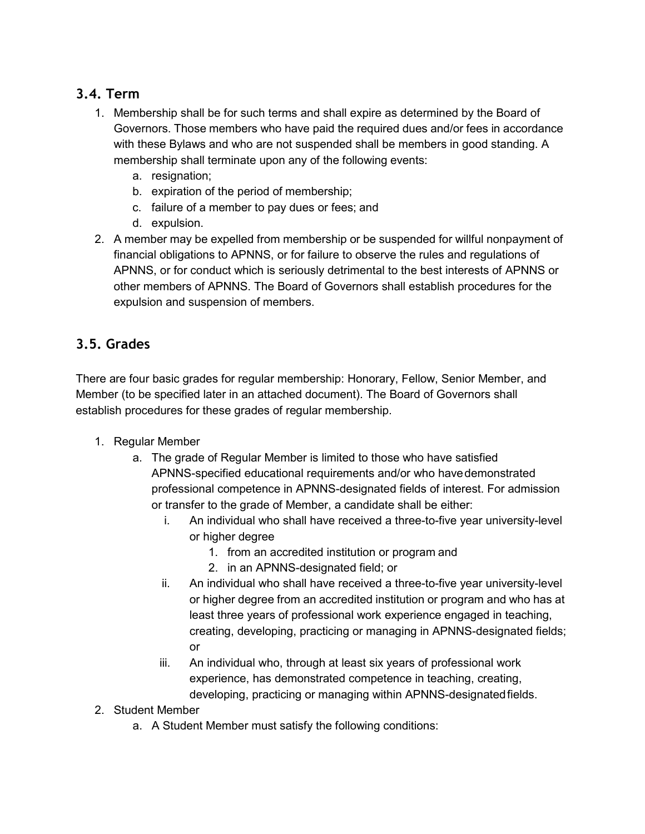## **3.4. Term**

- 1. Membership shall be for such terms and shall expire as determined by the Board of Governors. Those members who have paid the required dues and/or fees in accordance with these Bylaws and who are not suspended shall be members in good standing. A membership shall terminate upon any of the following events:
	- a. resignation;
	- b. expiration of the period of membership;
	- c. failure of a member to pay dues or fees; and
	- d. expulsion.
- 2. A member may be expelled from membership or be suspended for willful nonpayment of financial obligations to APNNS, or for failure to observe the rules and regulations of APNNS, or for conduct which is seriously detrimental to the best interests of APNNS or other members of APNNS. The Board of Governors shall establish procedures for the expulsion and suspension of members.

# **3.5. Grades**

There are four basic grades for regular membership: Honorary, Fellow, Senior Member, and Member (to be specified later in an attached document). The Board of Governors shall establish procedures for these grades of regular membership.

- 1. Regular Member
	- a. The grade of Regular Member is limited to those who have satisfied APNNS-specified educational requirements and/or who havedemonstrated professional competence in APNNS-designated fields of interest. For admission or transfer to the grade of Member, a candidate shall be either:
		- i. An individual who shall have received a three-to-five year university-level or higher degree
			- 1. from an accredited institution or program and
			- 2. in an APNNS-designated field; or
		- ii. An individual who shall have received a three-to-five year university-level or higher degree from an accredited institution or program and who has at least three years of professional work experience engaged in teaching, creating, developing, practicing or managing in APNNS-designated fields; or
		- iii. An individual who, through at least six years of professional work experience, has demonstrated competence in teaching, creating, developing, practicing or managing within APNNS-designatedfields.
- 2. Student Member
	- a. A Student Member must satisfy the following conditions: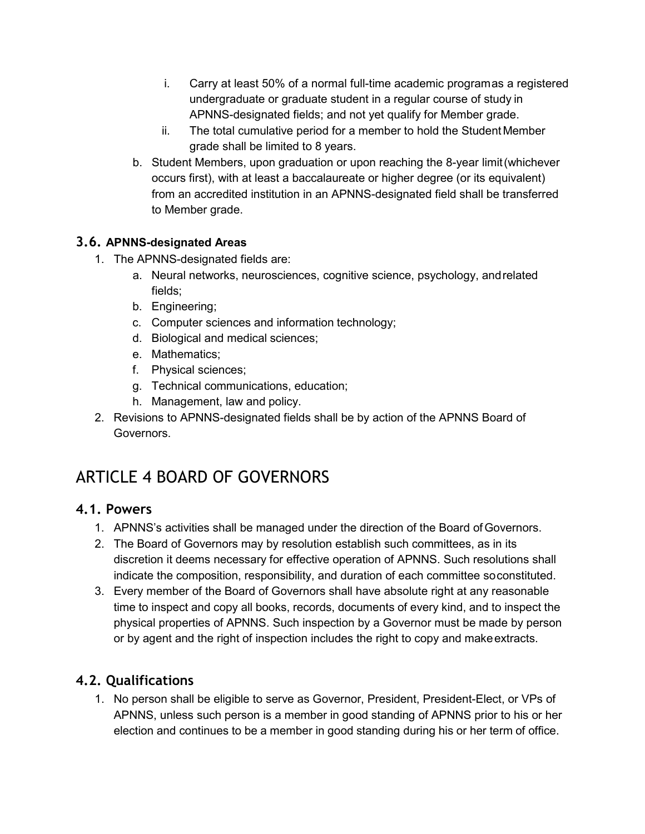- i. Carry at least 50% of a normal full-time academic programas a registered undergraduate or graduate student in a regular course of study in APNNS-designated fields; and not yet qualify for Member grade.
- ii. The total cumulative period for a member to hold the StudentMember grade shall be limited to 8 years.
- b. Student Members, upon graduation or upon reaching the 8-year limit(whichever occurs first), with at least a baccalaureate or higher degree (or its equivalent) from an accredited institution in an APNNS-designated field shall be transferred to Member grade.

#### **3.6. APNNS-designated Areas**

- 1. The APNNS-designated fields are:
	- a. Neural networks, neurosciences, cognitive science, psychology, andrelated fields;
	- b. Engineering;
	- c. Computer sciences and information technology;
	- d. Biological and medical sciences;
	- e. Mathematics;
	- f. Physical sciences;
	- g. Technical communications, education;
	- h. Management, law and policy.
- 2. Revisions to APNNS-designated fields shall be by action of the APNNS Board of Governors.

# ARTICLE 4 BOARD OF GOVERNORS

#### **4.1. Powers**

- 1. APNNS's activities shall be managed under the direction of the Board ofGovernors.
- 2. The Board of Governors may by resolution establish such committees, as in its discretion it deems necessary for effective operation of APNNS. Such resolutions shall indicate the composition, responsibility, and duration of each committee soconstituted.
- 3. Every member of the Board of Governors shall have absolute right at any reasonable time to inspect and copy all books, records, documents of every kind, and to inspect the physical properties of APNNS. Such inspection by a Governor must be made by person or by agent and the right of inspection includes the right to copy and makeextracts.

## **4.2. Qualifications**

1. No person shall be eligible to serve as Governor, President, President-Elect, or VPs of APNNS, unless such person is a member in good standing of APNNS prior to his or her election and continues to be a member in good standing during his or her term of office.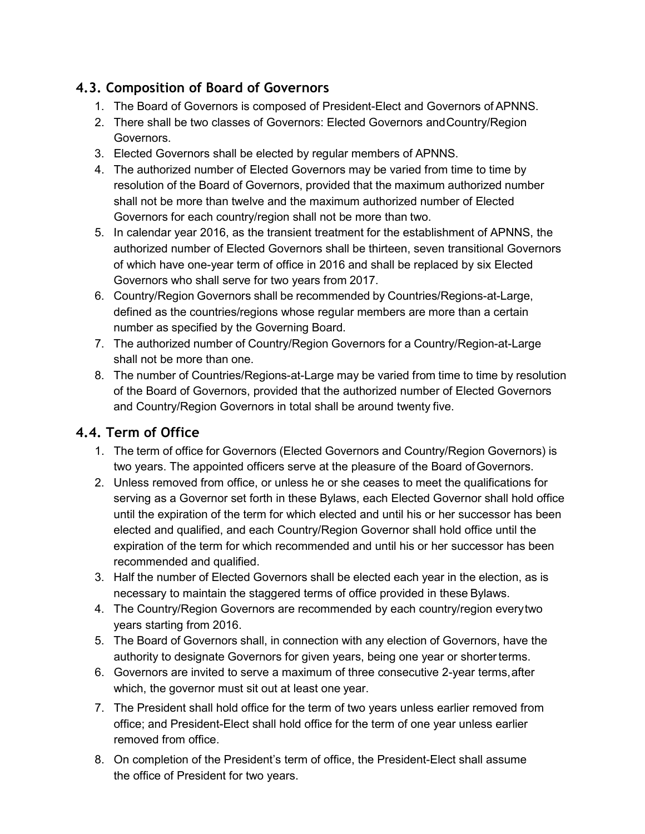## **4.3. Composition of Board of Governors**

- 1. The Board of Governors is composed of President-Elect and Governors of APNNS.
- 2. There shall be two classes of Governors: Elected Governors andCountry/Region Governors.
- 3. Elected Governors shall be elected by regular members of APNNS.
- 4. The authorized number of Elected Governors may be varied from time to time by resolution of the Board of Governors, provided that the maximum authorized number shall not be more than twelve and the maximum authorized number of Elected Governors for each country/region shall not be more than two.
- 5. In calendar year 2016, as the transient treatment for the establishment of APNNS, the authorized number of Elected Governors shall be thirteen, seven transitional Governors of which have one-year term of office in 2016 and shall be replaced by six Elected Governors who shall serve for two years from 2017.
- 6. Country/Region Governors shall be recommended by Countries/Regions-at-Large, defined as the countries/regions whose regular members are more than a certain number as specified by the Governing Board.
- 7. The authorized number of Country/Region Governors for a Country/Region-at-Large shall not be more than one.
- 8. The number of Countries/Regions-at-Large may be varied from time to time by resolution of the Board of Governors, provided that the authorized number of Elected Governors and Country/Region Governors in total shall be around twenty five.

## **4.4. Term of Office**

- 1. The term of office for Governors (Elected Governors and Country/Region Governors) is two years. The appointed officers serve at the pleasure of the Board ofGovernors.
- 2. Unless removed from office, or unless he or she ceases to meet the qualifications for serving as a Governor set forth in these Bylaws, each Elected Governor shall hold office until the expiration of the term for which elected and until his or her successor has been elected and qualified, and each Country/Region Governor shall hold office until the expiration of the term for which recommended and until his or her successor has been recommended and qualified.
- 3. Half the number of Elected Governors shall be elected each year in the election, as is necessary to maintain the staggered terms of office provided in these Bylaws.
- 4. The Country/Region Governors are recommended by each country/region everytwo years starting from 2016.
- 5. The Board of Governors shall, in connection with any election of Governors, have the authority to designate Governors for given years, being one year or shorterterms.
- 6. Governors are invited to serve a maximum of three consecutive 2-year terms,after which, the governor must sit out at least one year.
- 7. The President shall hold office for the term of two years unless earlier removed from office; and President-Elect shall hold office for the term of one year unless earlier removed from office.
- 8. On completion of the President's term of office, the President-Elect shall assume the office of President for two years.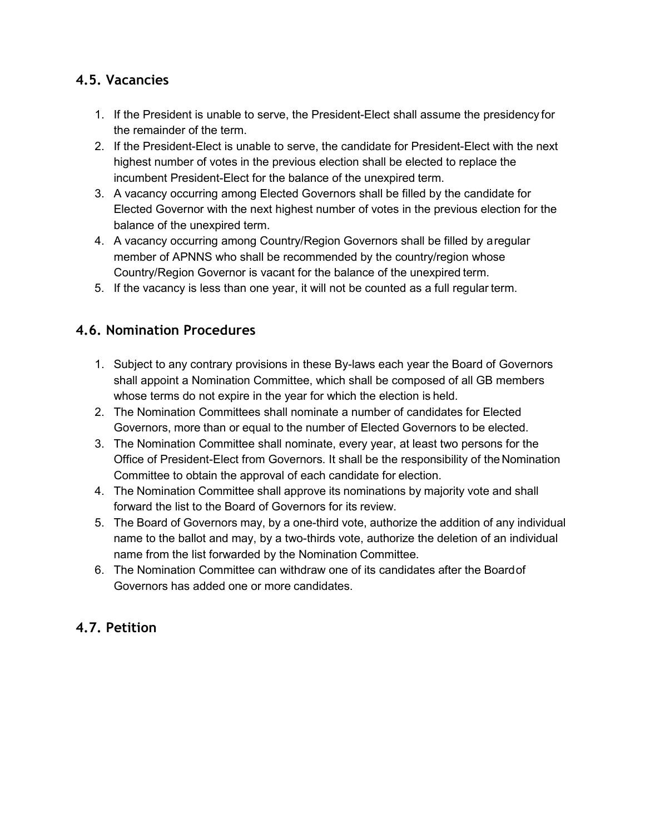### **4.5. Vacancies**

- 1. If the President is unable to serve, the President-Elect shall assume the presidency for the remainder of the term.
- 2. If the President-Elect is unable to serve, the candidate for President-Elect with the next highest number of votes in the previous election shall be elected to replace the incumbent President-Elect for the balance of the unexpired term.
- 3. A vacancy occurring among Elected Governors shall be filled by the candidate for Elected Governor with the next highest number of votes in the previous election for the balance of the unexpired term.
- 4. A vacancy occurring among Country/Region Governors shall be filled by aregular member of APNNS who shall be recommended by the country/region whose Country/Region Governor is vacant for the balance of the unexpired term.
- 5. If the vacancy is less than one year, it will not be counted as a full regular term.

## **4.6. Nomination Procedures**

- 1. Subject to any contrary provisions in these By-laws each year the Board of Governors shall appoint a Nomination Committee, which shall be composed of all GB members whose terms do not expire in the year for which the election is held.
- 2. The Nomination Committees shall nominate a number of candidates for Elected Governors, more than or equal to the number of Elected Governors to be elected.
- 3. The Nomination Committee shall nominate, every year, at least two persons for the Office of President-Elect from Governors. It shall be the responsibility of theNomination Committee to obtain the approval of each candidate for election.
- 4. The Nomination Committee shall approve its nominations by majority vote and shall forward the list to the Board of Governors for its review.
- 5. The Board of Governors may, by a one-third vote, authorize the addition of any individual name to the ballot and may, by a two-thirds vote, authorize the deletion of an individual name from the list forwarded by the Nomination Committee.
- 6. The Nomination Committee can withdraw one of its candidates after the Boardof Governors has added one or more candidates.

## **4.7. Petition**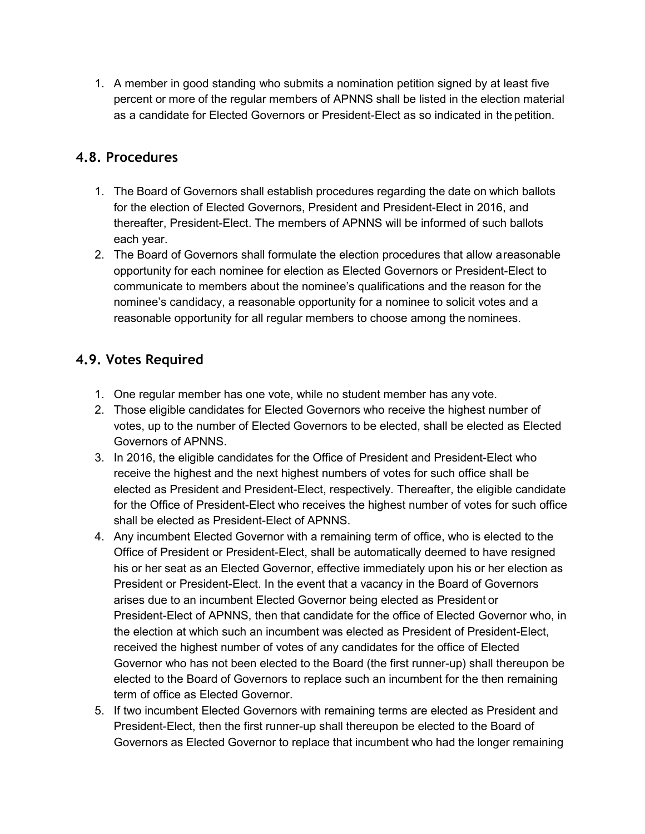1. A member in good standing who submits a nomination petition signed by at least five percent or more of the regular members of APNNS shall be listed in the election material as a candidate for Elected Governors or President-Elect as so indicated in the petition.

#### **4.8. Procedures**

- 1. The Board of Governors shall establish procedures regarding the date on which ballots for the election of Elected Governors, President and President-Elect in 2016, and thereafter, President-Elect. The members of APNNS will be informed of such ballots each year.
- 2. The Board of Governors shall formulate the election procedures that allow areasonable opportunity for each nominee for election as Elected Governors or President-Elect to communicate to members about the nominee's qualifications and the reason for the nominee's candidacy, a reasonable opportunity for a nominee to solicit votes and a reasonable opportunity for all regular members to choose among the nominees.

### **4.9. Votes Required**

- 1. One regular member has one vote, while no student member has any vote.
- 2. Those eligible candidates for Elected Governors who receive the highest number of votes, up to the number of Elected Governors to be elected, shall be elected as Elected Governors of APNNS.
- 3. In 2016, the eligible candidates for the Office of President and President-Elect who receive the highest and the next highest numbers of votes for such office shall be elected as President and President-Elect, respectively. Thereafter, the eligible candidate for the Office of President-Elect who receives the highest number of votes for such office shall be elected as President-Elect of APNNS.
- 4. Any incumbent Elected Governor with a remaining term of office, who is elected to the Office of President or President-Elect, shall be automatically deemed to have resigned his or her seat as an Elected Governor, effective immediately upon his or her election as President or President-Elect. In the event that a vacancy in the Board of Governors arises due to an incumbent Elected Governor being elected as President or President-Elect of APNNS, then that candidate for the office of Elected Governor who, in the election at which such an incumbent was elected as President of President-Elect, received the highest number of votes of any candidates for the office of Elected Governor who has not been elected to the Board (the first runner-up) shall thereupon be elected to the Board of Governors to replace such an incumbent for the then remaining term of office as Elected Governor.
- 5. If two incumbent Elected Governors with remaining terms are elected as President and President-Elect, then the first runner-up shall thereupon be elected to the Board of Governors as Elected Governor to replace that incumbent who had the longer remaining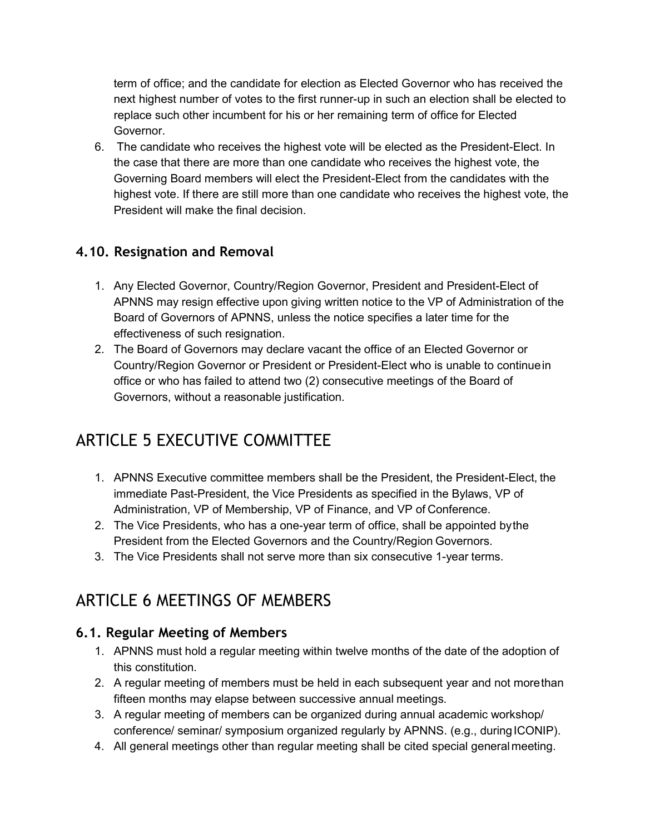term of office; and the candidate for election as Elected Governor who has received the next highest number of votes to the first runner-up in such an election shall be elected to replace such other incumbent for his or her remaining term of office for Elected Governor.

6. The candidate who receives the highest vote will be elected as the President-Elect. In the case that there are more than one candidate who receives the highest vote, the Governing Board members will elect the President-Elect from the candidates with the highest vote. If there are still more than one candidate who receives the highest vote, the President will make the final decision.

## **4.10. Resignation and Removal**

- 1. Any Elected Governor, Country/Region Governor, President and President-Elect of APNNS may resign effective upon giving written notice to the VP of Administration of the Board of Governors of APNNS, unless the notice specifies a later time for the effectiveness of such resignation.
- 2. The Board of Governors may declare vacant the office of an Elected Governor or Country/Region Governor or President or President-Elect who is unable to continuein office or who has failed to attend two (2) consecutive meetings of the Board of Governors, without a reasonable justification.

# ARTICLE 5 EXECUTIVE COMMITTEE

- 1. APNNS Executive committee members shall be the President, the President-Elect, the immediate Past-President, the Vice Presidents as specified in the Bylaws, VP of Administration, VP of Membership, VP of Finance, and VP of Conference.
- 2. The Vice Presidents, who has a one-year term of office, shall be appointed bythe President from the Elected Governors and the Country/Region Governors.
- 3. The Vice Presidents shall not serve more than six consecutive 1-year terms.

# ARTICLE 6 MEETINGS OF MEMBERS

#### **6.1. Regular Meeting of Members**

- 1. APNNS must hold a regular meeting within twelve months of the date of the adoption of this constitution.
- 2. A regular meeting of members must be held in each subsequent year and not morethan fifteen months may elapse between successive annual meetings.
- 3. A regular meeting of members can be organized during annual academic workshop/ conference/ seminar/ symposium organized regularly by APNNS. (e.g., during ICONIP).
- 4. All general meetings other than regular meeting shall be cited special general meeting.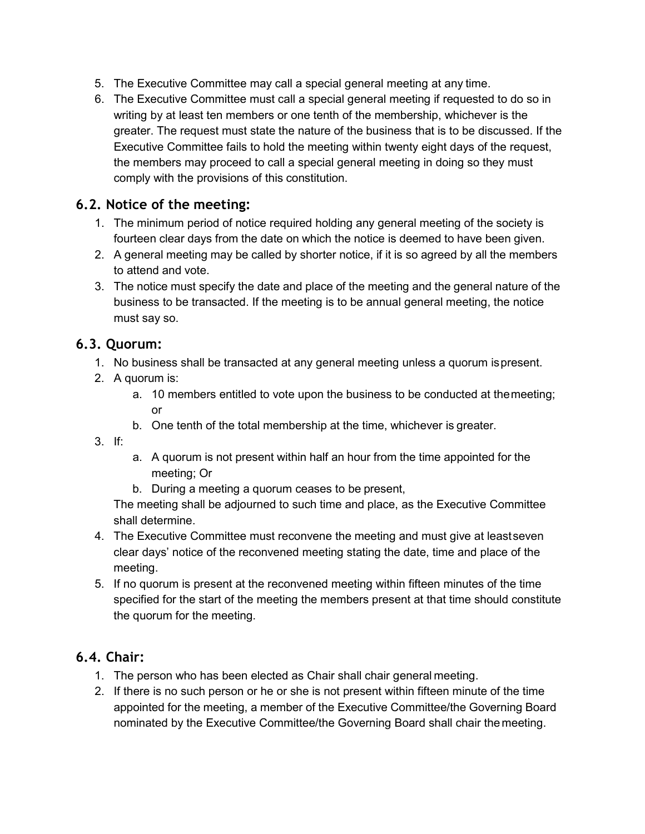- 5. The Executive Committee may call a special general meeting at any time.
- 6. The Executive Committee must call a special general meeting if requested to do so in writing by at least ten members or one tenth of the membership, whichever is the greater. The request must state the nature of the business that is to be discussed. If the Executive Committee fails to hold the meeting within twenty eight days of the request, the members may proceed to call a special general meeting in doing so they must comply with the provisions of this constitution.

#### **6.2. Notice of the meeting:**

- 1. The minimum period of notice required holding any general meeting of the society is fourteen clear days from the date on which the notice is deemed to have been given.
- 2. A general meeting may be called by shorter notice, if it is so agreed by all the members to attend and vote.
- 3. The notice must specify the date and place of the meeting and the general nature of the business to be transacted. If the meeting is to be annual general meeting, the notice must say so.

#### **6.3. Quorum:**

- 1. No business shall be transacted at any general meeting unless a quorum ispresent.
- 2. A quorum is:
	- a. 10 members entitled to vote upon the business to be conducted at themeeting;  $\alpha$ r
	- b. One tenth of the total membership at the time, whichever is greater.
- 3. If:
- a. A quorum is not present within half an hour from the time appointed for the meeting; Or
- b. During a meeting a quorum ceases to be present,

The meeting shall be adjourned to such time and place, as the Executive Committee shall determine.

- 4. The Executive Committee must reconvene the meeting and must give at leastseven clear days' notice of the reconvened meeting stating the date, time and place of the meeting.
- 5. If no quorum is present at the reconvened meeting within fifteen minutes of the time specified for the start of the meeting the members present at that time should constitute the quorum for the meeting.

#### **6.4. Chair:**

- 1. The person who has been elected as Chair shall chair general meeting.
- 2. If there is no such person or he or she is not present within fifteen minute of the time appointed for the meeting, a member of the Executive Committee/the Governing Board nominated by the Executive Committee/the Governing Board shall chair the meeting.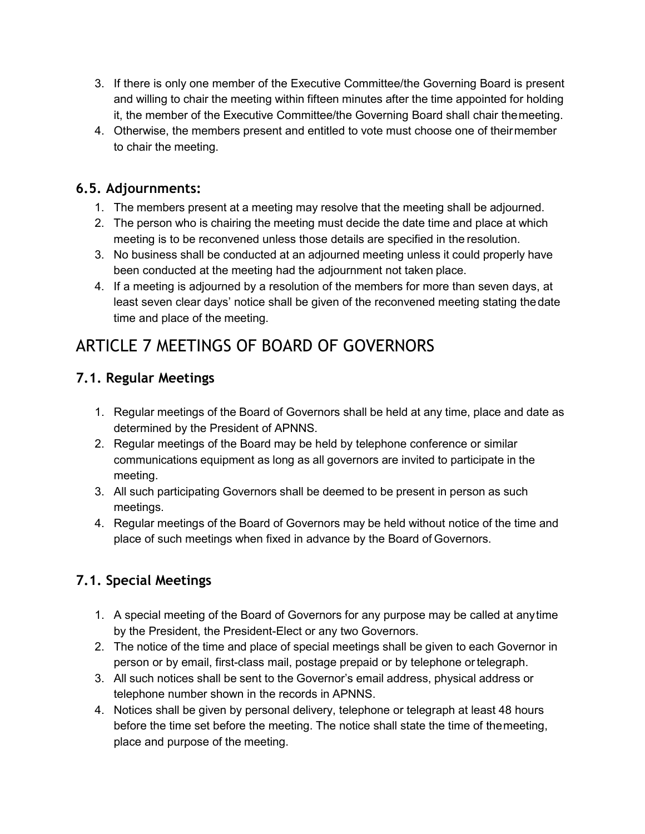- 3. If there is only one member of the Executive Committee/the Governing Board is present and willing to chair the meeting within fifteen minutes after the time appointed for holding it, the member of the Executive Committee/the Governing Board shall chair themeeting.
- 4. Otherwise, the members present and entitled to vote must choose one of theirmember to chair the meeting.

### **6.5. Adjournments:**

- 1. The members present at a meeting may resolve that the meeting shall be adjourned.
- 2. The person who is chairing the meeting must decide the date time and place at which meeting is to be reconvened unless those details are specified in the resolution.
- 3. No business shall be conducted at an adjourned meeting unless it could properly have been conducted at the meeting had the adjournment not taken place.
- 4. If a meeting is adjourned by a resolution of the members for more than seven days, at least seven clear days' notice shall be given of the reconvened meeting stating thedate time and place of the meeting.

# ARTICLE 7 MEETINGS OF BOARD OF GOVERNORS

## **7.1. Regular Meetings**

- 1. Regular meetings of the Board of Governors shall be held at any time, place and date as determined by the President of APNNS.
- 2. Regular meetings of the Board may be held by telephone conference or similar communications equipment as long as all governors are invited to participate in the meeting.
- 3. All such participating Governors shall be deemed to be present in person as such meetings.
- 4. Regular meetings of the Board of Governors may be held without notice of the time and place of such meetings when fixed in advance by the Board of Governors.

# **7.1. Special Meetings**

- 1. A special meeting of the Board of Governors for any purpose may be called at anytime by the President, the President-Elect or any two Governors.
- 2. The notice of the time and place of special meetings shall be given to each Governor in person or by email, first-class mail, postage prepaid or by telephone ortelegraph.
- 3. All such notices shall be sent to the Governor's email address, physical address or telephone number shown in the records in APNNS.
- 4. Notices shall be given by personal delivery, telephone or telegraph at least 48 hours before the time set before the meeting. The notice shall state the time of themeeting, place and purpose of the meeting.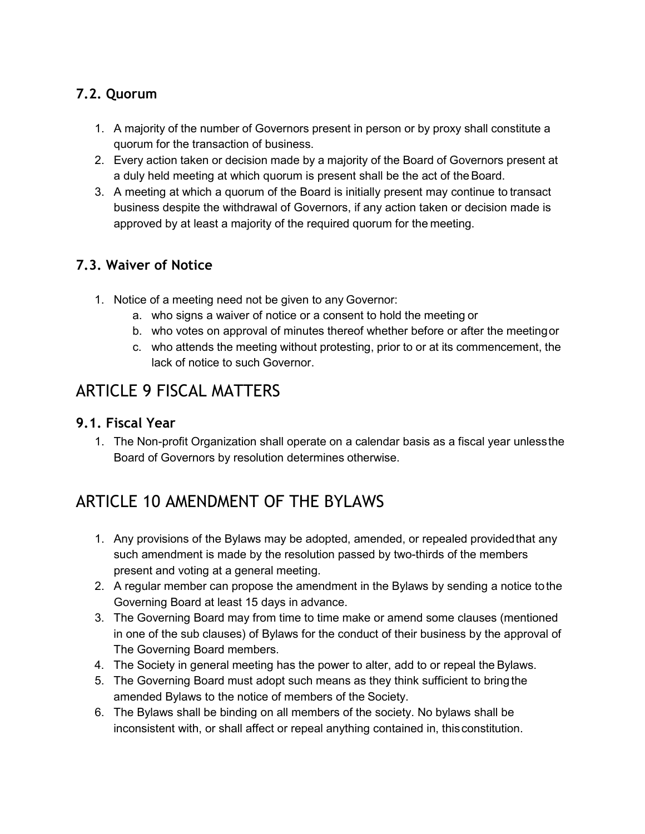## **7.2. Quorum**

- 1. A majority of the number of Governors present in person or by proxy shall constitute a quorum for the transaction of business.
- 2. Every action taken or decision made by a majority of the Board of Governors present at a duly held meeting at which quorum is present shall be the act of the Board.
- 3. A meeting at which a quorum of the Board is initially present may continue to transact business despite the withdrawal of Governors, if any action taken or decision made is approved by at least a majority of the required quorum for the meeting.

# **7.3. Waiver of Notice**

- 1. Notice of a meeting need not be given to any Governor:
	- a. who signs a waiver of notice or a consent to hold the meeting or
	- b. who votes on approval of minutes thereof whether before or after the meetingor
	- c. who attends the meeting without protesting, prior to or at its commencement, the lack of notice to such Governor.

# ARTICLE 9 FISCAL MATTERS

#### **9.1. Fiscal Year**

1. The Non-profit Organization shall operate on a calendar basis as a fiscal year unlessthe Board of Governors by resolution determines otherwise.

# ARTICLE 10 AMENDMENT OF THE BYLAWS

- 1. Any provisions of the Bylaws may be adopted, amended, or repealed providedthat any such amendment is made by the resolution passed by two-thirds of the members present and voting at a general meeting.
- 2. A regular member can propose the amendment in the Bylaws by sending a notice tothe Governing Board at least 15 days in advance.
- 3. The Governing Board may from time to time make or amend some clauses (mentioned in one of the sub clauses) of Bylaws for the conduct of their business by the approval of The Governing Board members.
- 4. The Society in general meeting has the power to alter, add to or repeal the Bylaws.
- 5. The Governing Board must adopt such means as they think sufficient to bring the amended Bylaws to the notice of members of the Society.
- 6. The Bylaws shall be binding on all members of the society. No bylaws shall be inconsistent with, or shall affect or repeal anything contained in, thisconstitution.